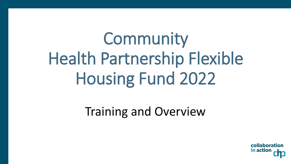Community Health Partnership Flexible Housing Fund 2022

Training and Overview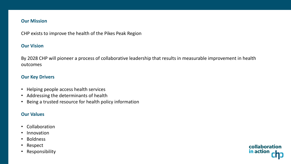### **Our Mission**

CHP exists to improve the health of the Pikes Peak Region

### **Our Vision**

By 2028 CHP will pioneer a process of collaborative leadership that results in measurable improvement in health outcomes

collaboration

in action

### **Our Key Drivers**

- Helping people access health services
- Addressing the determinants of health
- Being a trusted resource for health policy information

### **Our Values**

- Collaboration
- Innovation
- Boldness
- Respect
- Responsibility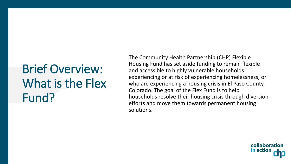# Brief Overview: What is the Flex Fund?

The Community Health Partnership (CHP) Flexible Housing Fund has set aside funding to remain flexible and accessible to highly vulnerable households experiencing or at risk of experiencing homelessness, or who are experiencing a housing crisis in El Paso County, Colorado. The goal of the Flex Fund is to help households resolve their housing crisis through diversion efforts and move them towards permanent housing solutions.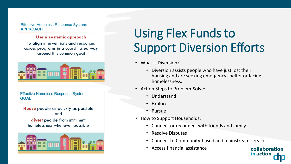**Effective Homeless Response System: APPROACH** 

#### Use a systemic approach

to align interventions and resources across programs in a coordinated way around this common goal



**Effective Homeless Response System: GOAL** 

House people as quickly as possible and

divert people from imminent homelessness whenever possible



# Using Flex Funds to Support Diversion Efforts

- What is Diversion?
	- Diversion assists people who have just lost their housing and are seeking emergency shelter or facing homelessness.
- Action Steps to Problem-Solve:
	- Understand
	- Explore
	- Pursue
- How to Support Households:
	- Connect or reconnect with friends and family
	- Resolve Disputes
	- Connect to Community-based and mainstream services
	- Access financial assistance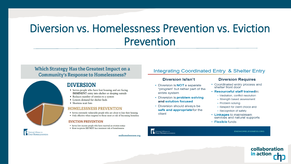### Diversion vs. Homelessness Prevention vs. Eviction Prevention

### Which Strategy Has the Greatest Impact on a **Community's Response to Homelessness?**



- Serves people who have lost housing and are facing **IMMINENT** entry into shelter or sleeping outside
- Reduces number of entries to a system
- Lowers demand for shelter beds
- Shortens wait lists

#### **HOMELESSNESS PREVENTION**

- Serves extremely vulnerable people who are about to lose their housing
- Only effective when targeted to those most at risk of becoming homeless

#### **EVICTION PREVENTION**

- Serves low income people who have received an eviction notice
- Most recipients DO NOT face imminent risk of homelessness

#### National Alliance to ND HOMELESSNESS

endhomelessness.org

### Integrating Coordinated Entry & Shelter Entry

#### Diversion Is/Isn't

- Diversion is **NOT** a separate "program" but rather part of the entire system
- Diversion is problem solving and solution focused
- Diversion should always be safe and appropriate for the client

#### **Diversion Requires**

- Coordinated entry process and shelter front door
- · Resourceful staff trainedin:
	- Mediation, conflict resolution
	- Strength based assessment
	- Problem solving
	- Respect for client choice and
	- Recognition of safety
- Linkages to mainstream services and natural supports
- $\cdot$  Flexible funds



**ENDHOMELESSNESS.ORG** 

collaboration

in action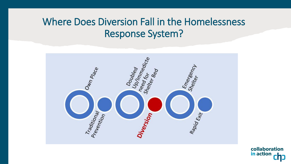### Where Does Diversion Fall in the Homelessness Response System?

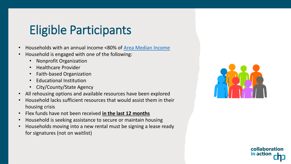### Eligible Participants

- Households with an annual income <80% of [Area Median Income](https://www.chfainfo.com/arh/asset/rent-income-limits)
- Household is engaged with one of the following:
	- Nonprofit Organization
	- Healthcare Provider
	- Faith-based Organization
	- Educational Institution
	- City/County/State Agency
- All rehousing options and available resources have been explored
- Household lacks sufficient resources that would assist them in their housing crisis
- Flex funds have not been received **in the last 12 months**
- Household is seeking assistance to secure or maintain housing
- Households moving into a new rental must be signing a lease ready for signatures (not on waitlist)

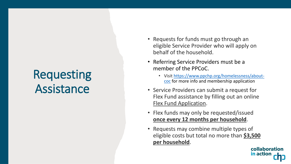## **Requesting** Assistance

- Requests for funds must go through an eligible Service Provider who will apply on behalf of the household.
- Referring Service Providers must be a member of the PPCoC .
	- Visit [https://www.ppchp.org/homelessness/about](https://www.ppchp.org/homelessness/about-coc)coc for more info and membership application
- Service Providers can submit a request for Flex Fund assistance by filling out an online [Flex Fund Application](https://forms.office.com/Pages/ResponsePage.aspx?id=ga6xZPYGx0Srh2lIsrxuGdWRwsY2Mj5DhqOZQ8ay6ItUQjE1UEJaRkxJRVRUMlJPUFFZSzVCUVFURi4u) .
- Flex funds may only be requested/issued **once every 12 months per household** .
- Requests may combine multiple types of eligible costs but total no more than **\$3,500 per household** .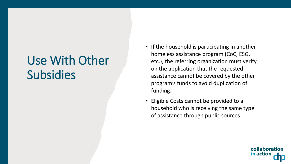# Use With Other **Subsidies**

- If the household is participating in another homeless assistance program (CoC, ESG, etc.), the referring organization must verify on the application that the requested assistance cannot be covered by the other program's funds to avoid duplication of funding.
- Eligible Costs cannot be provided to a household who is receiving the same type of assistance through public sources.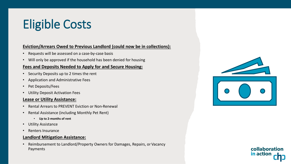# Eligible Costs

### **Eviction/Arrears Owed to Previous Landlord (could now be in collections):**

- Requests will be assessed on a case-by-case basis
- Will only be approved if the household has been denied for housing

### **Fees and Deposits Needed to Apply for and Secure Housing:**

- Security Deposits up to 2 times the rent
- Application and Administrative Fees
- Pet Deposits/Fees
- Utility Deposit Activation Fees

### **Lease or Utility Assistance:**

- Rental Arrears to PREVENT Eviction or Non-Renewal
- Rental Assistance (including Monthly Pet Rent)
	- **Up to 2-months of rent**
- **Utility Assistance**
- Renters Insurance

### **Landlord Mitigation Assistance:**

• Reimbursement to Landlord/Property Owners for Damages, Repairs, or Vacancy Payments



collaboration

in actio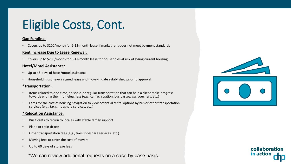# Eligible Costs, Cont.

#### **Gap Funding:**

• Covers up to \$200/month for 6-12-month lease if market rent does not meet payment standards

#### **Rent Increase Due to Lease Renewal:**

• Covers up to \$200/month for 6-12-month lease for households at risk of losing current housing

#### **Hotel/Motel Assistance:**

- Up to 45-days of hotel/motel assistance
- Household must have a signed lease and move-in date established prior to approval

#### **\*Transportation:**

- Items related to one-time, episodic, or regular transportation that can help a client make progress towards ending their homelessness (e.g., car registration, bus passes, gas vouchers, etc.)
- Fares for the cost of housing navigation to view potential rental options by bus or other transportation services (e.g., taxis, rideshare services, etc.)

#### **\*Relocation Assistance:**

- Bus tickets to return to locales with stable family support
- Plane or train tickets
- Other transportation fees (e.g., taxis, rideshare services, etc.)
- Moving fees to cover the cost of movers
- Up to 60 days of storage fees

\*We can review additional requests on a case-by-case basis.



collaboration

in actio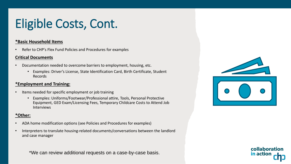# Eligible Costs, Cont.

### **\*Basic Household Items**

• Refer to CHP's Flex Fund Policies and Procedures for examples

### **Critical Documents**

- Documentation needed to overcome barriers to employment, housing, etc.
	- Examples: Driver's License, State Identification Card, Birth Certificate, Student Records

### **\*Employment and Training:**

- Items needed for specific employment or job training
	- Examples: Uniforms/Footwear/Professional attire, Tools, Personal Protective Equipment, GED Exam/Licensing Fees, Temporary Childcare Costs to Attend Job Interviews

### **\*Other:**

- ADA home modification options (see Policies and Procedures for examples)
- Interpreters to translate housing-related documents/conversations between the landlord and case manager

\*We can review additional requests on a case-by-case basis.



collaboration

in actio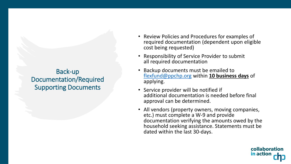### Back-up Documentation/Required Supporting Documents

- Review Policies and Procedures for examples of required documentation (dependent upon eligible cost being requested)
- Responsibility of Service Provider to submit all required documentation
- Backup documents must be emailed to [flexfund@ppchp.org](mailto:flexfunds@ppchp.org) within **10 business days** of applying.
- Service provider will be notified if additional documentation is needed before final approval can be determined.
- All vendors (property owners, moving companies, etc.) must complete a W-9 and provide documentation verifying the amounts owed by the household seeking assistance. Statements must be dated within the last 30-days.

collaboration

in action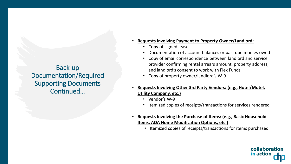Back-up Documentation/Required Supporting Documents Continued…

- **Requests Involving Payment to Property Owner/Landlord:**
	- Copy of signed lease
	- Documentation of account balances or past due monies owed
	- Copy of email correspondence between landlord and service provider confirming rental arrears amount, property address, and landlord's consent to work with Flex Funds
	- Copy of property owner/landlord's W-9
- **Requests Involving Other 3rd Party Vendors: (e.g., Hotel/Motel, Utility Company, etc.)**
	- Vendor's W-9
	- Itemized copies of receipts/transactions for services rendered
- **Requests Involving the Purchase of Items: (e.g., Basic Household Items, ADA Home Modification Options, etc.)**
	- Itemized copies of receipts/transactions for items purchased

collaboration

in action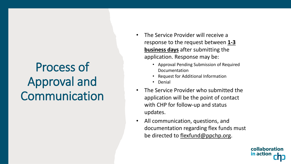# Process of Approval and Communication

- The Service Provider will receive a response to the request between **1-3 business days** after submitting the application. Response may be:
	- Approval Pending Submission of Required Documentation
	- Request for Additional Information
	- Denial
- The Service Provider who submitted the application will be the point of contact with CHP for follow-up and status updates.
- All communication, questions, and documentation regarding flex funds must be directed to [flexfund@ppchp.org.](mailto:flexfunds@ppchp.org)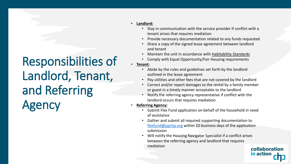# Responsibilities of Landlord, Tenant, and Referring Agency

#### • **Landlord:**

- Stay in communication with the service provider if conflict with a tenant arises that requires mediation
- Provide necessary documentation related to any funds requested
- Share a copy of the signed lease agreement between landlord and tenant
- Maintain the unit in accordance with [Habitability Standards](https://www.hud.gov/sites/documents/DHAPSANDYHABITCHKLIST.PDF)
- Comply with Equal Opportunity/Fair Housing requirements

### • **Tenant:**

- Abide by the rules and guidelines set forth by the landlord outlined in the lease agreement
- Pay utilities and other fees that are not covered by the landlord
- Correct and/or report damages to the rental by a family member or guest in a timely manner acceptable to the landlord
- Notify the referring agency representative if conflict with the landlord occurs that requires mediation
- **Referring Agency:**
	- Submit Flex Fund application on behalf of the household in need of assistance
	- Gather and submit all required supporting documentation to [flexfund@ppchp.org](mailto:flexfunds@ppchp.org) within 10 business days of the application submission
	- Will notify the Housing Navigator Specialist if a conflict arises between the referring agency and landlord that requires mediation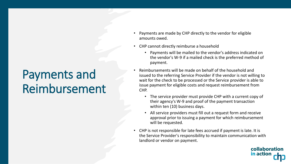### Payments and Reimbursement

- Payments are made by CHP directly to the vendor for eligible amounts owed.
- CHP cannot directly reimburse a household
	- Payments will be mailed to the vendor's address indicated on the vendor's W-9 if a mailed check is the preferred method of payment.
- Reimbursements will be made on behalf of the household and issued to the referring Service Provider if the vendor is not willing to wait for the check to be processed or the Service provider is able to issue payment for eligible costs and request reimbursement from CHP.
	- The service provider must provide CHP with a current copy of their agency's W-9 and proof of the payment transaction within ten (10) business days.
	- All service providers must fill out a request form and receive approval prior to issuing a payment for which reimbursement will be requested.
- CHP is not responsible for late fees accrued if payment is late. It is the Service Provider's responsibility to maintain communication with landlord or vendor on payment.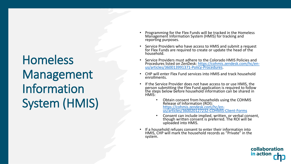# Homeless Management Information System (HMIS)

- Programming for the Flex Funds will be tracked in the Homeless Management Information System (HMIS) for tracking and reporting purposes.
- Service Providers who have access to HMIS and submit a request for Flex Funds are required to create or update the head of the household.
- Service Providers must adhere to the Colorado HMIS Policies and [Procedures listed on ZenDesk: https://cohmis.zendesk.com/hc/en](https://cohmis.zendesk.com/hc/en-us/articles/360013991371-Policy-Procedures)us/articles/360013991371-Policy-Procedures.
- CHP will enter Flex Fund services into HMIS and track household enrollments.
- If the Service Provider does not have access to or use HMIS, the person submitting the Flex Fund application is required to follow the steps below before household information can be shared in HMIS:
	- Obtain consent from households using the COHMIS Release of Information (ROI): https://cohmis.zendesk.com/hc/en[us/articles/360020127232-COHMIS-Client-Forms](https://cohmis.zendesk.com/hc/en-us/articles/360020127232-COHMIS-Client-Forms)
	- Consent can include implied, written, or verbal consent, though written consent is preferred. The ROI will be uploaded into HMIS.
- If a household refuses consent to enter their information into HMIS, CHP will mark the household records as "Private" in the system.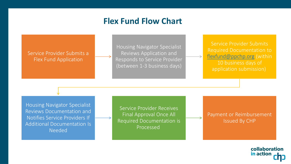### **Flex Fund Flow Chart**

### Service Provider Submits a Flex Fund Application

Housing Navigator Specialist Reviews Application and Responds to Service Provider (between 1-3 business days)

Service Provider Submits Required Documentation to [flexfund@ppchp.org](mailto:flexfunds@ppchp.org) (within 10 business days of application submission)

Housing Navigator Specialist Reviews Documentation and Notifies Service Providers If Additional Documentation Is Needed

Service Provider Receives Final Approval Once All Required Documentation is Processed

Payment or Reimbursement Issued By CHP